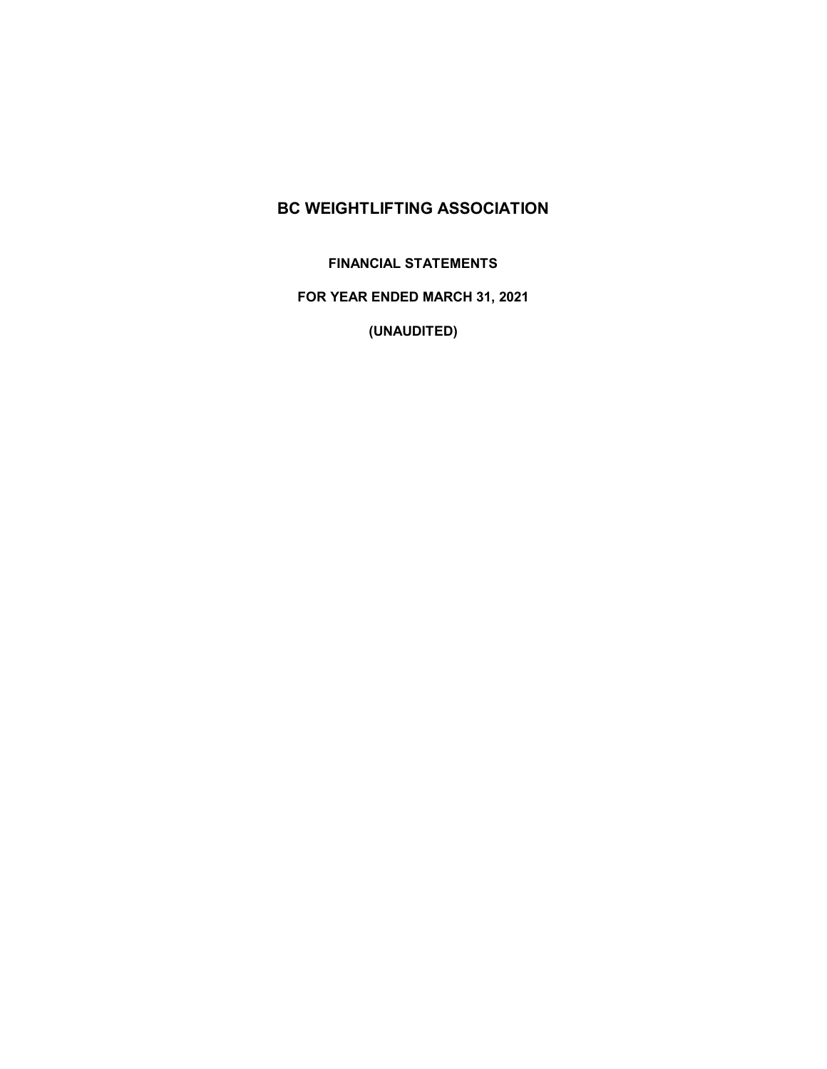**FINANCIAL STATEMENTS**

**FOR YEAR ENDED MARCH 31, 2021**

**(UNAUDITED)**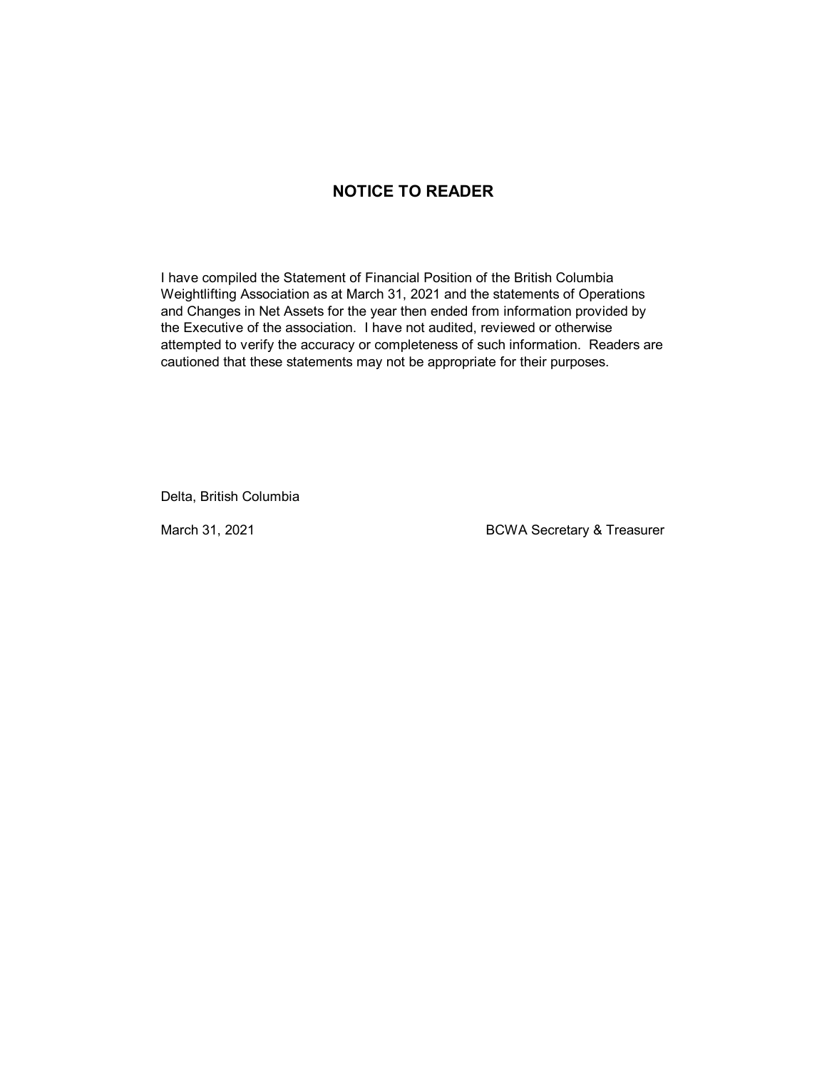### **NOTICE TO READER**

I have compiled the Statement of Financial Position of the British Columbia Weightlifting Association as at March 31, 2021 and the statements of Operations and Changes in Net Assets for the year then ended from information provided by the Executive of the association. I have not audited, reviewed or otherwise attempted to verify the accuracy or completeness of such information. Readers are cautioned that these statements may not be appropriate for their purposes.

Delta, British Columbia

March 31, 2021 **BCWA Secretary & Treasurer**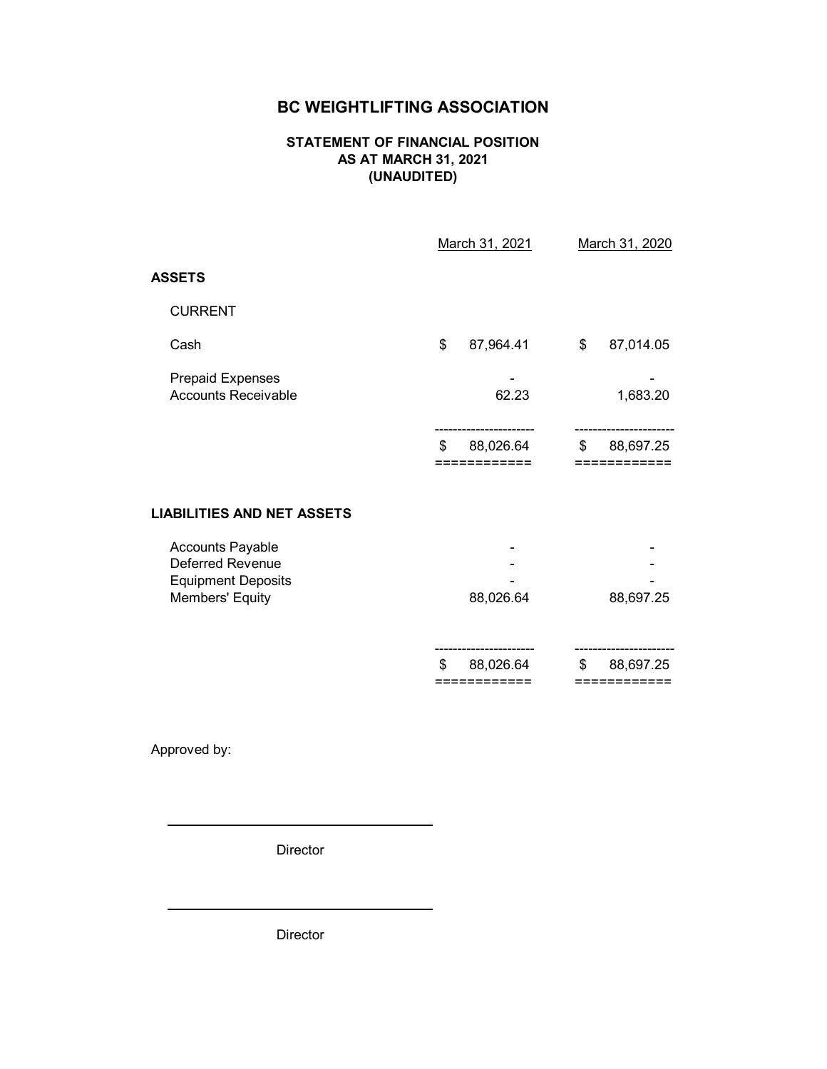#### **STATEMENT OF FINANCIAL POSITION AS AT MARCH 31, 2021 (UNAUDITED)**

|                                                                                             | March 31, 2021                 | March 31, 2020                  |
|---------------------------------------------------------------------------------------------|--------------------------------|---------------------------------|
| <b>ASSETS</b>                                                                               |                                |                                 |
| <b>CURRENT</b>                                                                              |                                |                                 |
| Cash                                                                                        | \$<br>87,964.41                | \$<br>87,014.05                 |
| <b>Prepaid Expenses</b><br><b>Accounts Receivable</b>                                       | 62.23                          | 1,683.20                        |
|                                                                                             | 88,026.64<br>\$<br>========    | 88,697.25<br>\$                 |
| <b>LIABILITIES AND NET ASSETS</b>                                                           |                                |                                 |
| <b>Accounts Payable</b><br>Deferred Revenue<br><b>Equipment Deposits</b><br>Members' Equity | 88,026.64                      | 88,697.25                       |
|                                                                                             | 88,026.64<br>\$<br>=========== | 88,697.25<br>\$<br>:=========== |

Approved by:

Director

Director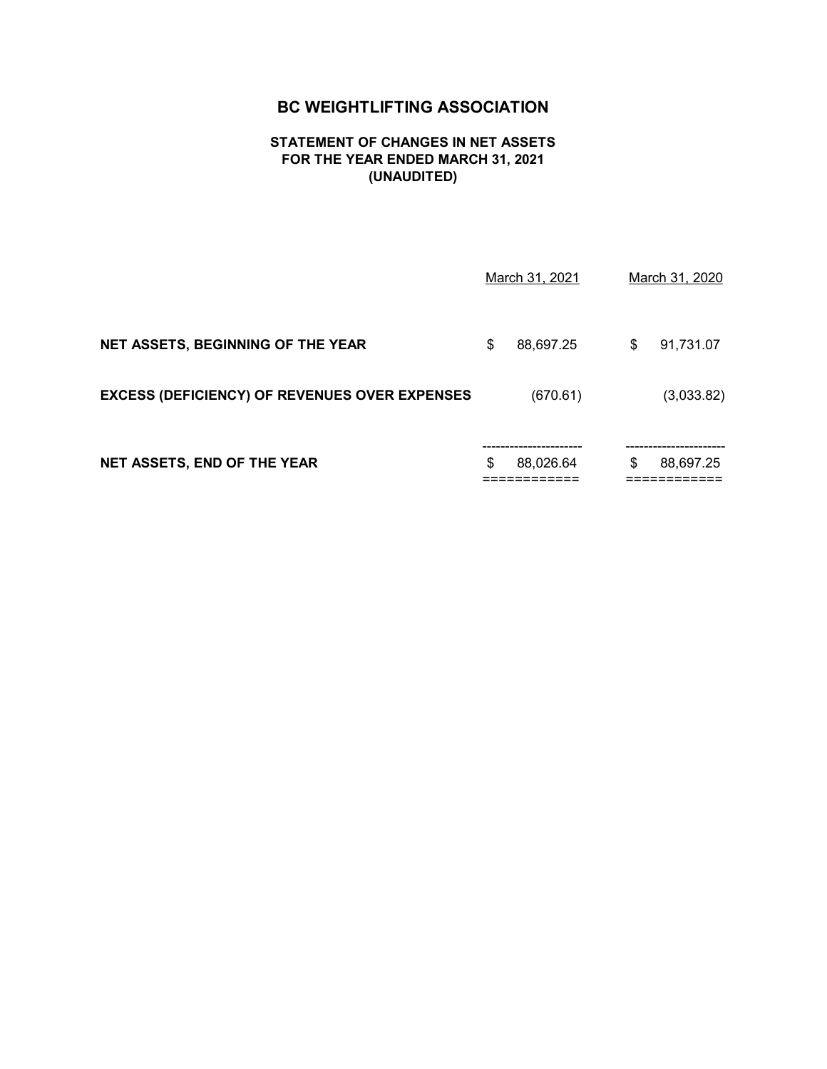#### **STATEMENT OF CHANGES IN NET ASSETS FOR THE YEAR ENDED MARCH 31, 2021 (UNAUDITED)**

| NET ASSETS, END OF THE YEAR                          | \$<br>88,026.64 | \$<br>88,697.25 |
|------------------------------------------------------|-----------------|-----------------|
| <b>EXCESS (DEFICIENCY) OF REVENUES OVER EXPENSES</b> | (670.61)        | (3,033.82)      |
| <b>NET ASSETS, BEGINNING OF THE YEAR</b>             | \$<br>88,697.25 | \$<br>91,731.07 |
|                                                      | March 31, 2021  | March 31, 2020  |